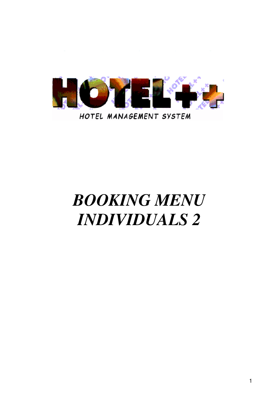

# *BOOKING MENU INDIVIDUALS 2*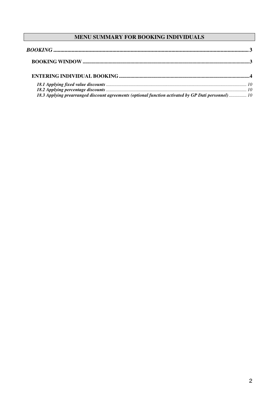# MENU SUMMARY FOR BOOKING INDIVIDUALS

| 18.3 Applying prearranged discount agreements (optional function activated by GP Dati personnel) 10 |  |
|-----------------------------------------------------------------------------------------------------|--|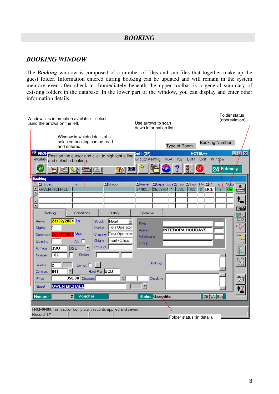# *BOOKING*

## *BOOKING WINDOW*

The *Booking* window is composed of a number of files and sub-files that together make up the guest folder. Information entered during booking can be updated and will remain in the system memory even after check-in. Immediately beneath the upper toolbar is a general summary of existing folders in the database. In the lower part of the window, you can display and enter other information details.

| Window lists information available - select<br>using the arrows on the left.                                                                                                                                                                                                                                                                                                                       | Folder status<br>(abbreviation)<br>Use arrows to scan<br>down information list.                                                                                                               |
|----------------------------------------------------------------------------------------------------------------------------------------------------------------------------------------------------------------------------------------------------------------------------------------------------------------------------------------------------------------------------------------------------|-----------------------------------------------------------------------------------------------------------------------------------------------------------------------------------------------|
| Window in which details of a<br>selected booking can be read<br>and entered.                                                                                                                                                                                                                                                                                                                       | <b>Booking Number</b><br>Type of Room                                                                                                                                                         |
| <b>ES FRON</b><br>Position the cursor and click to highlight a line<br><u>Availab</u><br>and select a booking.<br>(SAVE)<br>li O<br>V16<br>re                                                                                                                                                                                                                                                      | $ \frac{1}{4}$ $\times$<br>HOTEL++<br>Dati (GP)<br>Group/Meeting<br>Exit<br><b>VDA</b><br>Pay<br>Window<br>Lists<br>壘<br>ξĶ<br>24 February                                                    |
| <b>Booking</b><br>$\blacksquare$ Group<br>$\Box$ Guest<br>Firm<br>$\frac{1}{2}$<br><b>OWEN MICHAEL</b><br>$\overline{\phantom{a}}$<br>≖                                                                                                                                                                                                                                                            | Depart Qual Typ   Room Pty   PI<br><b>MArrival</b><br>Statu<br>no.<br>土<br>$2$ BCB<br>24/02/04 25/02/04 1<br><b>JSU</b><br>102<br>$\overline{2}$<br>lGA<br><b>UDUCHER</b><br>и<br><b>PASS</b> |
| Bookina<br>Conditions<br>History<br>24/02/2004 Tu<br>Arrival<br>Struct.<br>Hotel<br>$\overline{\phantom{a}}$<br>Tour Operator<br>Nights<br>Market<br>Channel Tour Operator<br>Departure 25/02/2004 We<br>Front - Office<br>Origin<br>All. $\Box$<br>$\vert$ 1<br><b>Quantity</b><br>Product<br><b>JSU</b><br>JSU<br>R. Type<br>Option<br>102<br>Number<br><b>B</b><br>2<br>Compl. $\Box$<br>Guests | Operative<br>4<br><b>Firm</b><br>$\overline{\mathbf{x}}$<br><b>INTEROPA HOLIDAYS</b><br>Agency<br>Wholesaler<br>ā<br>Group<br>Booking<br>in ind                                               |
| <b>INT</b><br>Hotel Plan BCB<br>Contract<br>350,00 Discount<br>$\boldsymbol{\mathcal{U}}$<br>Price<br><b>OWEN MICHAEL</b><br>Guest<br>Voucher<br><b>Number</b><br>$\overline{2}$                                                                                                                                                                                                                   | Check-in<br>圖<br>$\blacksquare$<br><b>Status Garantita</b><br>Off WL Gua                                                                                                                      |
| FRM-40400: Transaction complete: 3 records applied and saved.<br>Record: 1/1                                                                                                                                                                                                                                                                                                                       | Folder status (in detail).                                                                                                                                                                    |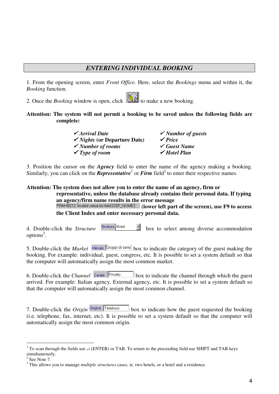# *ENTERING INDIVIDUAL BOOKING*

1. From the opening screen, enter *Front Office.* Here, select the *Bookings* menu and within it, the *Booking* function.

2. Once the *Booking* window is open, click to make a new booking.

#### **Attention: The system will not permit a booking to be saved unless the following fields are complete:**

| $\checkmark$ Arrival Date               | $\checkmark$ Number of guests |
|-----------------------------------------|-------------------------------|
| $\checkmark$ Nights (or Departure Date) | $\sqrt{Price}$                |
| $\checkmark$ Number of rooms            | $\checkmark$ Guest Name       |
| $\checkmark$ Type of room               | $\checkmark$ Hotel Plan       |

3. Position the cursor on the *Agency* field to enter the name of the agency making a booking. Similarly, you can click on the *Representative*<sup>1</sup> or *Firm* field<sup>2</sup> to enter their respective names.

**Attention: The system does not allow you to enter the name of an agency, firm or representative, unless the database already contains their personal data. If typing an agency/firm name results in the error message (lower left part of the screen), use F9 to access**

**the Client Index and enter necessary personal data.**

4. Double-click the *Structure*  $\frac{3\text{trutura}}{1000}$  box to select among diverse accommodation options 3 .

5. Double-click the *Market* Mercato Gruppi di serie box to indicate the category of the guest making the booking. For example: individual, guest, congress, etc. It is possible to set a system default so that the computer will automatically assign the most common market.

6. Double-click the *Channel* Canale **Private** box to indicate the channel through which the guest arrived. For example: Italian agency, External agency, etc. It is possible to set a system default so that the computer will automatically assign the most common channel.

7. Double-click the *Origin* box to indicate how the guest requested the booking (i.e. telephone, fax, internet, etc). It is possible to set a system default so that the computer will automatically assign the most common origin.

<sup>&</sup>lt;sup>1</sup> To scan through the fields use  $\perp$  (ENTER) or TAB. To return to the preceeding field use SHIFT and TAB keys simultaneously.

 $2$  See Note 7.

<sup>3</sup> This allows you to manage *multiple structures* cases, ie. two hotels, or a hotel and a residence.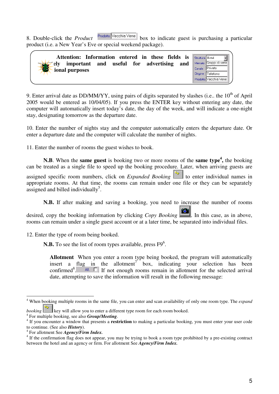8. Double-click the *Product*  $\frac{\text{Product}}{\text{Product}}$  box to indicate guest is purchasing a particular product (i.e. a New Year's Eve or special weekend package).

 $\overline{\text{erie}}$ 

| Attention: Information entered in these fields is Struttura Hotel |        |                     |
|-------------------------------------------------------------------|--------|---------------------|
| useful for advertising<br>and<br>important and<br>eIv             |        | Mercato Gruppi di s |
| <b>B</b><br>ional purposes                                        | Canale | <b>Privato</b>      |
|                                                                   |        | Origine Telefono    |
|                                                                   |        | Prodotto Vecchia V  |

9. Enter arrival date as DD/MM/YY, using pairs of digits separated by slashes (i.e., the  $10^{th}$  of April 2005 would be entered as 10/04/05). If you press the ENTER key without entering any date, the computer will automatically insert today's date, the day of the week, and will indicate a one-night stay, designating tomorrow as the departure date.

10. Enter the number of nights stay and the computer automatically enters the departure date. Or enter a departure date and the computer will calculate the number of nights.

11. Enter the number of rooms the guest wishes to book.

**N.B**. When the **same guest** is booking two or more rooms of the **same type 4 ,** the booking can be treated as a single file to speed up the booking procedure. Later, when arriving guests are assigned specific room numbers, click on *Expanded Booking* to enter individual names in appropriate rooms. At that time, the rooms can remain under one file or they can be separately assigned and billed individually<sup>5</sup>.

**N.B.** If after making and saving a booking, you need to increase the number of rooms

desired, copy the booking information by clicking *Copy Booking* . In this case, as in above, rooms can remain under a single guest account or at a later time, be separated into individual files.

12. Enter the type of room being booked.

N.B. To see the list of room types available, press  $F9^6$ .

**Allotment** When you enter a room type being booked, the program will automatically insert a flag in the allotment<sup>7</sup> box, indicating your selection has been confirmed 8  $\Box$  If not enough rooms remain in allotment for the selected arrival date, attempting to save the information will result in the following message:

4 For multiple booking, see also *Group/Meeting*.

<sup>4</sup> When booking multiple rooms in the same file, you can enter and scan availability of only one room type. The *expand*

*booking*  $\mathbb{R}^n$  key will allow you to enter a different type room for each room booked.

<sup>&</sup>lt;sup>4</sup> If you encounter a window that presents a **restriction** to making a particular booking, you must enter your user code to continue. (See also *History*).

<sup>4</sup> For allotment See *Agency/Firm Index.*

<sup>&</sup>lt;sup>4</sup> If the confirmation flag does not appear, you may be trying to book a room type prohibited by a pre-existing contract between the hotel and an agency or firm. For allotment See *Agency/Firm Index.*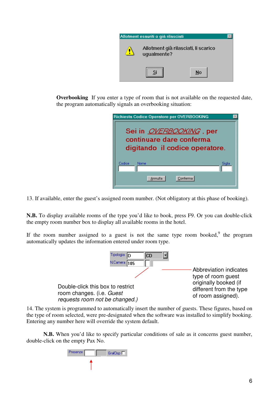

**Overbooking** If you enter a type of room that is not available on the requested date, the program automatically signals an overbooking situation:

| Richiesta Codice Operatore per OVERBOOKING<br>Sei in <i>OVERBOOKING</i> , per<br>continuare dare conferma<br>digitando il codice operatore. |
|---------------------------------------------------------------------------------------------------------------------------------------------|
| Codice<br>Nome<br>Sigla<br>Conferma<br>Annulla                                                                                              |

13. If available, enter the guest's assigned room number. (Not obligatory at this phase of booking).

**N.B.** To display available rooms of the type you'd like to book, press F9. Or you can double-click the empty room number box to display all available rooms in the hotel.

If the room number assigned to a guest is not the same type room booked,  $9$  the program automatically updates the information entered under room type.



14. The system is programmed to automatically insert the number of guests. These figures, based on the type of room selected, were pre-designated when the software was installed to simplify booking. Entering any number here will override the system default.

**N.B.** When you'd like to specify particular conditions of sale as it concerns guest number, double-click on the empty Pax No.

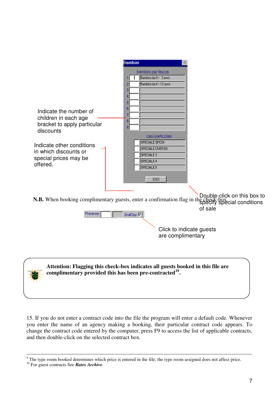

15. If you do not enter a contract code into the file the program will enter a default code. Whenever you enter the name of an agency making a booking, their particular contract code appears. To change the contract code entered by the computer, press F9 to access the list of applicable contracts, and then double-click on the selected contract box.

<sup>&</sup>lt;sup>9</sup> The type room booked determines which price is entered in the file; the type room assigned does not affect price.

<sup>10</sup> For guest contracts See *Rates Archive*.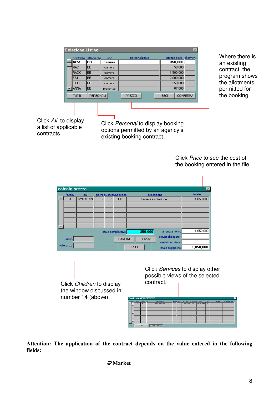| <b>Selezione Listino</b> | contratto trattamento | tipo     | personalizzato | prezzo base allotment |                 |
|--------------------------|-----------------------|----------|----------------|-----------------------|-----------------|
| <b>NEW</b>               | BB                    | camera   |                | 350,000               |                 |
| <b>RAC</b>               | IBB                   | camera   |                | 50,000                |                 |
| <b>RACK</b>              | IBB                   | camera   |                | 1,500,000             |                 |
| <b>EST</b>               | Івв                   | camera   |                | 2,000,000             |                 |
| <b>OBO</b>               | Івв                   | camera   |                | 250,000               |                 |
| ANNA                     | <b>IBB</b>            | presenza |                | 67,000                |                 |
| <b>TUTTI</b>             | PERSONALI             |          | PREZZO         | <b>ESCI</b>           | <b>CONFERMA</b> |

Where there is an existing contract, the program shows the allotments permitted for the booking

Click *All* to display a list of applicable contracts.

Click *Personal* to display booking options permitted by an agency's existing booking contract

> Click *Price* to see the cost of the booking entered in the file



**Attention: The application of the contract depends on the value entered in the following fields:**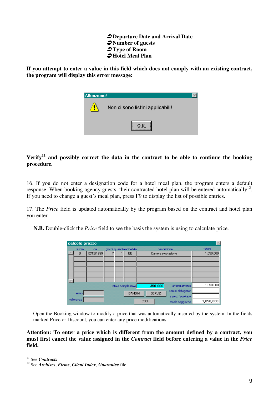- **Departure Date and Arrival Date** - **Number of guests** - **Type of Room** - **Hotel Meal Plan**

**If you attempt to enter a value in this field which does not comply with an existing contract, the program will display this error message:**



### **Verify 11 and possibly correct the data in the contract to be able to continue the booking procedure.**

16. If you do not enter a designation code for a hotel meal plan, the program enters a default response. When booking agency guests, their contracted hotel plan will be entered automatically<sup>12</sup>. If you need to change a guest's meal plan, press F9 to display the list of possible entries.

17. The *Price* field is updated automatically by the program based on the contract and hotel plan you enter.

**N.B.** Double-click the *Price* field to see the basis the system is using to calculate price.

| calcolo prezzo |            |  |                          |             |                    |                     | $\times$  |
|----------------|------------|--|--------------------------|-------------|--------------------|---------------------|-----------|
| fascia         | dal        |  | giorni quantità addebito |             |                    | descrizione         | totale    |
| B              | 12/12/1999 |  | <b>BB</b>                |             | Camera e colazione |                     | 1,050,000 |
|                |            |  |                          |             |                    |                     |           |
|                |            |  |                          |             |                    |                     |           |
|                |            |  |                          |             |                    |                     |           |
|                |            |  |                          |             |                    |                     |           |
|                |            |  |                          |             |                    |                     |           |
|                |            |  | totale complessivo       |             | 350,000            | arrangiamento       | 1,050,000 |
|                |            |  |                          |             |                    | servizi obbligatori |           |
| arrivo         |            |  | <b>BAMBINI</b>           |             | <b>SERVIZI</b>     | servizi facoltativi |           |
| tolleranzal    |            |  |                          | <b>ESCI</b> |                    | totale soggiorno    | 1,050,000 |

Open the Booking window to modify a price that was automatically inserted by the system. In the fields marked Price or Discount, you can enter any price modifications.

#### **Attention: To enter a price which is different from the amount defined by a contract, you must first cancel the value assigned in the** *Contract* **field before entering a value in the** *Price* **field.**

<sup>11</sup> See *Contracts*

<sup>12</sup> See *Archives*, *Firms*, *Client Index*, *Guarantee* file.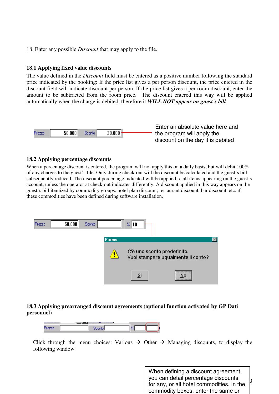18. Enter any possible *Discount* that may apply to the file.

#### **18.1 Applying fixed value discounts**

The value defined in the *Discount* field must be entered as a positive number following the standard price indicated by the booking: If the price list gives a per person discount, the price entered in the discount field will indicate discount per person. If the price list gives a per room discount, enter the amount to be subtracted from the room price. The discount entered this way will be applied automatically when the charge is debited, therefore it *WILL NOT appear on guest's bill*.



Enter an absolute value here and the program will apply the discount on the day it is debited

#### **18.2 Applying percentage discounts**

When a percentage discount is entered, the program will not apply this on a daily basis, but will debit 100% of any charges to the guest's file. Only during check-out will the discount be calculated and the guest's bill subsequently reduced. The discount percentage indicated will be applied to all items appearing on the guest's account, unless the operator at check-out indicates differently. A discount applied in this way appears on the guest's bill itemized by commodity groups: hotel plan discount, restaurant discount, bar discount, etc. if these commodities have been defined during software installation.



### **18.3 Applying prearranged discount agreements (optional function activated by GP Dati personnel)**



Click through the menu choices: Various  $\rightarrow$  Other  $\rightarrow$  Managing discounts, to display the following window

> 10 When defining a discount agreement, you can detail percentage discounts for any, or all hotel commodities. In the commodity boxes, enter the same or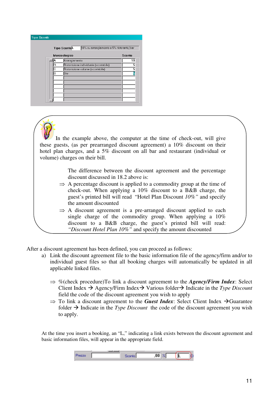| <b>Tipo Sconti</b> |   |                                                                 |        |
|--------------------|---|-----------------------------------------------------------------|--------|
|                    |   | 10% su arrangiamento e 5% ristorante/bar<br><b>Tipo ScontoL</b> |        |
|                    |   | Merceologico                                                    | Sconto |
|                    | А | Arrangiamento                                                   | 10     |
|                    | R | Ristorazione individuale (scontabile)                           | 5      |
|                    | Ć | Ristorazione volume (scontabile)                                | 5      |
|                    | B | Bar                                                             | 5      |
|                    |   |                                                                 |        |
|                    |   |                                                                 |        |
|                    |   |                                                                 |        |
|                    |   |                                                                 |        |
|                    |   |                                                                 |        |
|                    |   |                                                                 |        |
|                    |   |                                                                 |        |

In the example above, the computer at the time of check-out, will give these guests, (as per prearranged discount agreement) a 10% discount on their hotel plan charges, and a 5% discount on all bar and restaurant (individual or volume) charges on their bill.

> The difference between the discount agreement and the percentage discount discussed in 18.2 above is:

- $\Rightarrow$  A percentage discount is applied to a commodity group at the time of check-out. When applying a 10% discount to a B&B charge, the guest's printed bill will read "Hotel Plan Discount *10%"* and specify the amount discounted
- $\Rightarrow$  A discount agreement is a pre-arranged discount applied to each single charge of the commodity group. When applying a 10% discount to a B&B charge, the guest's printed bill will read: *"Discount Hotel Plan 10%"* and specify the amount discounted

After a discount agreement has been defined, you can proceed as follows:

- a) Link the discount agreement file to the basic information file of the agency/firm and/or to individual guest files so that all booking charges will automatically be updated in all applicable linked files.
	- $\Rightarrow$  %(check procedure)To link a discount agreement to the *Agency/Firm Index*: Select Client Index  $\rightarrow$  Agency/Firm Index  $\rightarrow$  Various folder  $\rightarrow$  Indicate in the *Type Discount* field the code of the discount agreement you wish to apply
	- $\Rightarrow$  To link a discount agreement to the *Guest Index*: Select Client Index  $\rightarrow$  Guarantee folder  $\rightarrow$  Indicate in the *Type Discount* the code of the discount agreement you wish to apply.

At the time you insert a booking, an "L," indicating a link exists between the discount agreement and basic information files, will appear in the appropriate field.

| ┎<br>$-70 -$ |  | nnl |  |
|--------------|--|-----|--|
|              |  |     |  |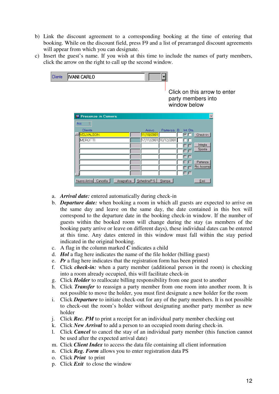- b) Link the discount agreement to a corresponding booking at the time of entering that booking. While on the discount field, press F9 and a list of prearranged discount agreements will appear from which you can designate.
- c) Insert the guest's name. If you wish at this time to include the names of party members, click the arrow on the right to call up the second window.

| Cliente | IVANI CARLO                 |                                       |                                                                    |
|---------|-----------------------------|---------------------------------------|--------------------------------------------------------------------|
|         |                             |                                       | Click on this arrow to enter<br>party members into<br>window below |
|         | <b>S</b> Presenze in Camera |                                       | ×                                                                  |
|         | Acc                         |                                       |                                                                    |
|         | Cliente                     | Arrivo                                | Partenza B. Int. Sta.                                              |
|         | <b>VELVALSON</b>            | 11/10/2001                            | ⊡<br>Check-in                                                      |
|         | MEROTTI                     | 17/11/2001 10/12/2001                 | ПF<br>Intesta                                                      |
|         |                             |                                       | $\Box$<br>Sposta                                                   |
|         |                             |                                       | ГΓ                                                                 |
|         |                             |                                       | FГ                                                                 |
|         |                             |                                       | гг<br>Partenza<br>Ric Accomp                                       |
|         |                             |                                       | г<br>ГΓ                                                            |
|         |                             |                                       |                                                                    |
|         | Nuovo Arrivo<br>Cancella    | Schedina P.S.<br>Anagrafica<br>Stampa | Esci                                                               |

- a. *Arrival date:* entered automatically during check-in
- b. *Departure date:* when booking a room in which all guests are expected to arrive on the same day and leave on the same day, the date contained in this box will correspond to the departure date in the booking check-in window. If the number of guests within the booked room will change during the stay (as members of the booking party arrive or leave on different days), these individual dates can be entered at this time. Any dates entered in this window must fall within the stay period indicated in the original booking.
- c. A flag in the column marked *C* indicates a child
- d. *Hol* a flag here indicates the name of the file holder (billing guest)
- e. *Pr* a flag here indicates that the registration form has been printed
- f. Click *check-in:* when a party member (additional person in the room) is checking into a room already occupied, this will facilitate check-in
- g. Click *Holder* to reallocate billing responsibility from one guest to another
- h. Click *Transfer* to reassign a party member from one room into another room. It is not possible to move the holder, you must first designate a new holder for the room
- i. Click *Departure* to initiate check-out for any of the party members. It is not possible to check-out the room's holder without designating another party member as new holder
- j. Click *Rec. PM* to print a receipt for an individual party member checking out
- k. Click *New Arrival* to add a person to an occupied room during check-in.
- l. Click *Cancel* to cancel the stay of an individual party member (this function cannot be used after the expected arrival date)
- m. Click *Client Index* to access the data file containing all client information
- n. Click *Reg. Form* allows you to enter registration data PS
- o. Click *Print* to print
- p. Click *Exit* to close the window